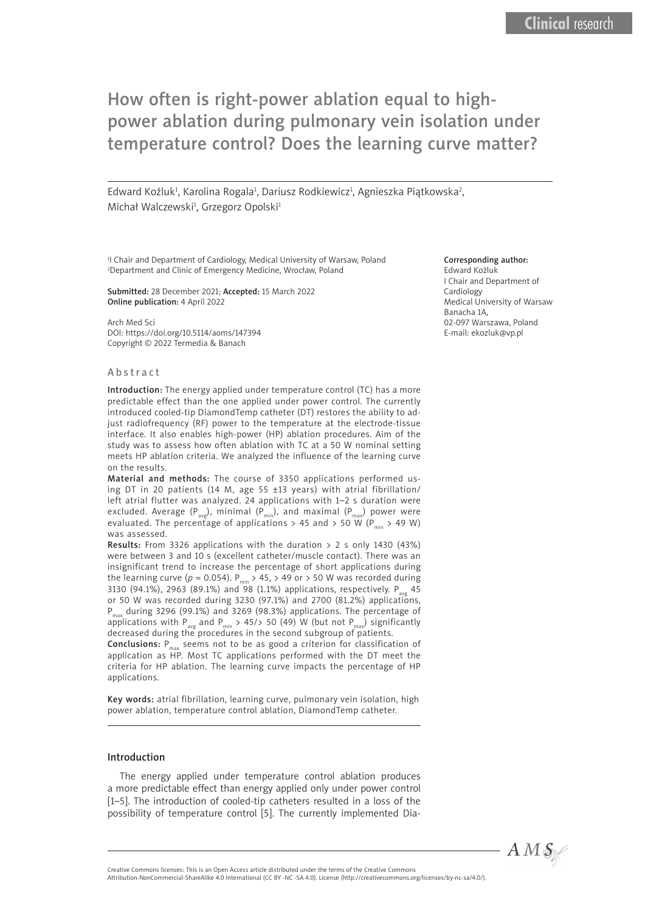# How often is right-power ablation equal to highpower ablation during pulmonary vein isolation under temperature control? Does the learning curve matter?

Edward Koźluk<sup>1</sup>, Karolina Rogala<sup>1</sup>, Dariusz Rodkiewicz<sup>1</sup>, Agnieszka Piątkowska<sup>2</sup>, Michał Walczewski<sup>1</sup>, Grzegorz Opolski<sup>1</sup>

<sup>1</sup>I Chair and Department of Cardiology, Medical University of Warsaw, Poland 2 Department and Clinic of Emergency Medicine, Wrocław, Poland

Submitted: 28 December 2021; Accepted: 15 March 2022 Online publication: 4 April 2022

Arch Med Sci DOI: https://doi.org/10.5114/aoms/147394 Copyright © 2022 Termedia & Banach

### Abstract

Introduction: The energy applied under temperature control (TC) has a more predictable effect than the one applied under power control. The currently introduced cooled-tip DiamondTemp catheter (DT) restores the ability to adjust radiofrequency (RF) power to the temperature at the electrode-tissue interface. It also enables high-power (HP) ablation procedures. Aim of the study was to assess how often ablation with TC at a 50 W nominal setting meets HP ablation criteria. We analyzed the influence of the learning curve on the results.

Material and methods: The course of 3350 applications performed using DT in 20 patients (14 M, age 55 ±13 years) with atrial fibrillation/ left atrial flutter was analyzed. 24 applications with 1–2 s duration were excluded. Average ( $P_{avg}$ ), minimal ( $P_{min}$ ), and maximal ( $P_{max}$ ) power were evaluated. The percentage of applications > 45 and > 50 W (P<sub>min</sub> > 49 W) was assessed.

Results: From 3326 applications with the duration > 2 s only 1430 (43%) were between 3 and 10 s (excellent catheter/muscle contact). There was an insignificant trend to increase the percentage of short applications during the learning curve ( $p = 0.054$ ). P<sub>min</sub> > 45, > 49 or > 50 W was recorded during 3130 (94.1%), 2963 (89.1%) and  $98$  (1.1%) applications, respectively. P<sub>av</sub> or 50 W was recorded during 3230 (97.1%) and 2700 (81.2%) applications,  $P_{\text{max}}$  during 3296 (99.1%) and 3269 (98.3%) applications. The percentage of applications with P<sub>avg</sub> and P<sub>min</sub> > 45/> 50 (49) W (but not P<sub>max</sub>) significantly decreased during the procedures in the second subgroup of patients.

**Conclusions:**  $P_{max}$  seems not to be as good a criterion for classification of application as HP. Most TC applications performed with the DT meet the criteria for HP ablation. The learning curve impacts the percentage of HP applications.

Key words: atrial fibrillation, learning curve, pulmonary vein isolation, high power ablation, temperature control ablation, DiamondTemp catheter.

# Introduction

The energy applied under temperature control ablation produces a more predictable effect than energy applied only under power control [1–5]. The introduction of cooled-tip catheters resulted in a loss of the possibility of temperature control [5]. The currently implemented Dia-

#### Corresponding author:

Edward Koźluk I Chair and Department of Cardiology Medical University of Warsaw Banacha 1A, 02-097 Warszawa, Poland E-mail: ekozluk@vp.pl

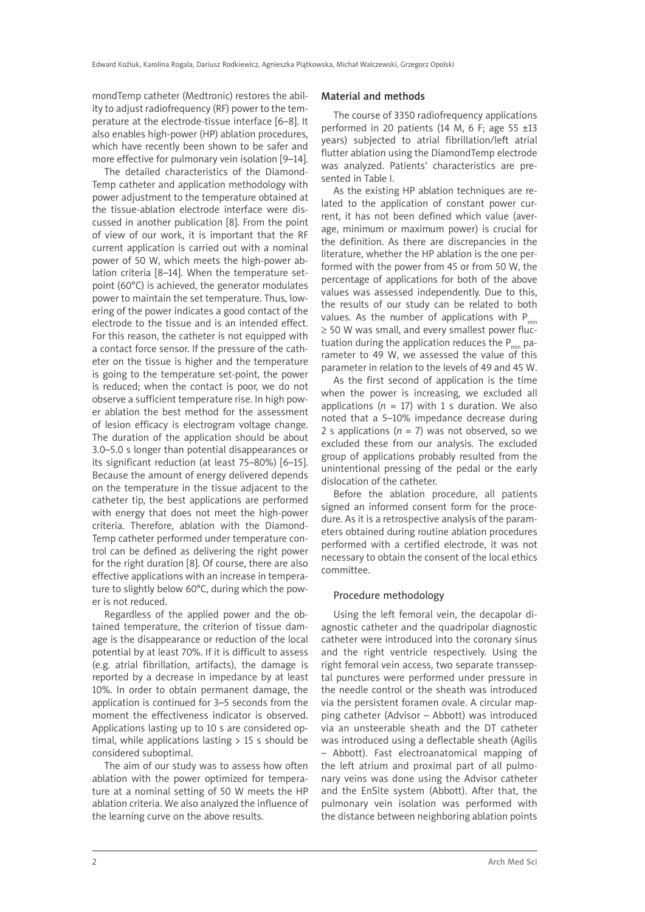mondTemp catheter (Medtronic) restores the ability to adjust radiofrequency (RF) power to the temperature at the electrode-tissue interface [6–8]. It also enables high-power (HP) ablation procedures, which have recently been shown to be safer and more effective for pulmonary vein isolation [9–14].

The detailed characteristics of the Diamond-Temp catheter and application methodology with power adjustment to the temperature obtained at the tissue-ablation electrode interface were discussed in another publication [8]. From the point of view of our work, it is important that the RF current application is carried out with a nominal power of 50 W, which meets the high-power ablation criteria [8–14]. When the temperature setpoint (60°C) is achieved, the generator modulates power to maintain the set temperature. Thus, lowering of the power indicates a good contact of the electrode to the tissue and is an intended effect. For this reason, the catheter is not equipped with a contact force sensor. If the pressure of the catheter on the tissue is higher and the temperature is going to the temperature set-point, the power is reduced; when the contact is poor, we do not observe a sufficient temperature rise. In high power ablation the best method for the assessment of lesion efficacy is electrogram voltage change. The duration of the application should be about 3.0–5.0 s longer than potential disappearances or its significant reduction (at least 75–80%) [6–15]. Because the amount of energy delivered depends on the temperature in the tissue adjacent to the catheter tip, the best applications are performed with energy that does not meet the high-power criteria. Therefore, ablation with the Diamond-Temp catheter performed under temperature control can be defined as delivering the right power for the right duration [8]. Of course, there are also effective applications with an increase in temperature to slightly below 60°C, during which the power is not reduced.

Regardless of the applied power and the obtained temperature, the criterion of tissue damage is the disappearance or reduction of the local potential by at least 70%. If it is difficult to assess (e.g. atrial fibrillation, artifacts), the damage is reported by a decrease in impedance by at least 10%. In order to obtain permanent damage, the application is continued for 3–5 seconds from the moment the effectiveness indicator is observed. Applications lasting up to 10 s are considered optimal, while applications lasting  $> 15$  s should be considered suboptimal.

The aim of our study was to assess how often ablation with the power optimized for temperature at a nominal setting of 50 W meets the HP ablation criteria. We also analyzed the influence of the learning curve on the above results.

### Material and methods

The course of 3350 radiofrequency applications performed in 20 patients  $(14 \text{ M}, 6 \text{ F})$  age 55  $\pm$ 13 years) subjected to atrial fibrillation/left atrial flutter ablation using the DiamondTemp electrode was analyzed. Patients' characteristics are presented in Table I.

As the existing HP ablation techniques are related to the application of constant power current, it has not been defined which value (average, minimum or maximum power) is crucial for the definition. As there are discrepancies in the literature, whether the HP ablation is the one performed with the power from 45 or from 50 W, the percentage of applications for both of the above values was assessed independently. Due to this, the results of our study can be related to both values. As the number of applications with  $P_{min}$ ≥ 50 W was small, and every smallest power fluctuation during the application reduces the  $P_{min}$  parameter to 49 W, we assessed the value of this parameter in relation to the levels of 49 and 45 W.

As the first second of application is the time when the power is increasing, we excluded all applications ( $n = 17$ ) with 1 s duration. We also noted that a 5–10% impedance decrease during 2 s applications  $(n = 7)$  was not observed, so we excluded these from our analysis. The excluded group of applications probably resulted from the unintentional pressing of the pedal or the early dislocation of the catheter.

Before the ablation procedure, all patients signed an informed consent form for the procedure. As it is a retrospective analysis of the parameters obtained during routine ablation procedures performed with a certified electrode, it was not necessary to obtain the consent of the local ethics committee.

## Procedure methodology

Using the left femoral vein, the decapolar diagnostic catheter and the quadripolar diagnostic catheter were introduced into the coronary sinus and the right ventricle respectively. Using the right femoral vein access, two separate transseptal punctures were performed under pressure in the needle control or the sheath was introduced via the persistent foramen ovale. A circular mapping catheter (Advisor – Abbott) was introduced via an unsteerable sheath and the DT catheter was introduced using a deflectable sheath (Agilis – Abbott). Fast electroanatomical mapping of the left atrium and proximal part of all pulmonary veins was done using the Advisor catheter and the EnSite system (Abbott). After that, the pulmonary vein isolation was performed with the distance between neighboring ablation points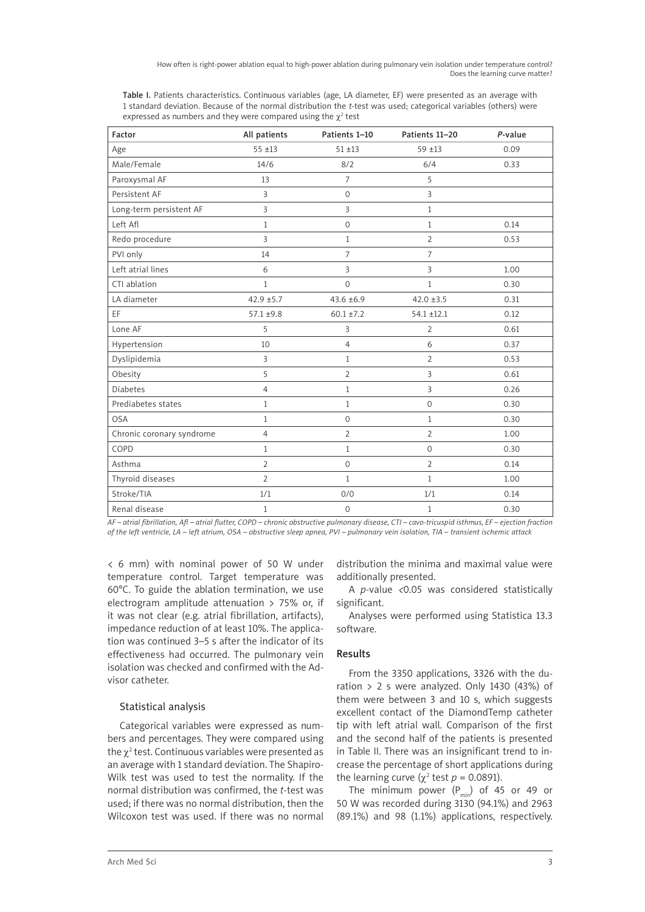How often is right-power ablation equal to high-power ablation during pulmonary vein isolation under temperature control? Does the learning curve matter?

Table I. Patients characteristics. Continuous variables (age, LA diameter, EF) were presented as an average with 1 standard deviation. Because of the normal distribution the *t*-test was used; categorical variables (others) were expressed as numbers and they were compared using the  $\chi^2$  test

| Factor                    | All patients   | Patients 1-10  | Patients 11-20      | $P$ -value |
|---------------------------|----------------|----------------|---------------------|------------|
| Age                       | $55 + 13$      | $51 + 13$      | $59 + 13$           | 0.09       |
| Male/Female               | 14/6           | 8/2            | 6/4                 | 0.33       |
| Paroxysmal AF             | 13             | $\overline{7}$ | 5                   |            |
| Persistent AF             | $\overline{3}$ | $\mathbf{0}$   | $\overline{3}$      |            |
| Long-term persistent AF   | $\overline{3}$ | 3              | $\mathbf{1}$        |            |
| Left Afl                  | $\mathbf{1}$   | $\mathbf 0$    | $\mathbf{1}$        | 0.14       |
| Redo procedure            | $\overline{3}$ | $1\,$          | $\overline{2}$      | 0.53       |
| PVI only                  | 14             | $\overline{7}$ | $\overline{7}$      |            |
| Left atrial lines         | 6              | $\overline{3}$ | $\overline{3}$      | 1.00       |
| CTI ablation              | $\mathbf{1}$   | $\mathbf 0$    | $\mathbf{1}$        | 0.30       |
| LA diameter               | $42.9 + 5.7$   | $43.6 \pm 6.9$ | $42.0 \pm 3.5$      | 0.31       |
| EF                        | $57.1 \pm 9.8$ | $60.1 \pm 7.2$ | $54.1 \pm 12.1$     | 0.12       |
| Lone AF                   | 5              | 3              | $\overline{2}$      | 0.61       |
| Hypertension              | 10             | $\overline{4}$ | 6                   | 0.37       |
| Dyslipidemia              | $\overline{3}$ | $1\,$          | $\overline{2}$      | 0.53       |
| Obesity                   | 5              | $\overline{2}$ | $\overline{3}$      | 0.61       |
| <b>Diabetes</b>           | $\overline{4}$ | $\mathbf{1}$   | 3                   | 0.26       |
| Prediabetes states        | $\mathbf{1}$   | $\mathbf{1}$   | $\mathsf{O}\xspace$ | 0.30       |
| <b>OSA</b>                | $\mathbf{1}$   | $\mathbf 0$    | $\mathbf{1}$        | 0.30       |
| Chronic coronary syndrome | $\overline{4}$ | $\overline{2}$ | $\overline{2}$      | 1.00       |
| COPD                      | $\mathbf{1}$   | $\mathbf{1}$   | $\mathsf{O}\xspace$ | 0.30       |
| Asthma                    | $\overline{2}$ | $\mathbf 0$    | $\overline{2}$      | 0.14       |
| Thyroid diseases          | $\overline{2}$ | $\mathbf{1}$   | $\mathbf{1}$        | 1.00       |
| Stroke/TIA                | 1/1            | 0/0            | 1/1                 | 0.14       |
| Renal disease             | $\mathbf{1}$   | $\mathbf{0}$   | $\mathbf{1}$        | 0.30       |

*AF – atrial fibrillation, Afl – atrial flutter, COPD – chronic obstructive pulmonary disease, CTI – cavo-tricuspid isthmus, EF – ejection fraction of the left ventricle, LA – left atrium, OSA – obstructive sleep apnea, PVI – pulmonary vein isolation, TIA – transient ischemic attack*

< 6 mm) with nominal power of 50 W under temperature control. Target temperature was 60°C. To guide the ablation termination, we use electrogram amplitude attenuation > 75% or, if it was not clear (e.g. atrial fibrillation, artifacts), impedance reduction of at least 10%. The application was continued 3–5 s after the indicator of its effectiveness had occurred. The pulmonary vein isolation was checked and confirmed with the Advisor catheter.

# Statistical analysis

Categorical variables were expressed as numbers and percentages. They were compared using the  $\chi^2$  test. Continuous variables were presented as an average with 1 standard deviation. The Shapiro-Wilk test was used to test the normality. If the normal distribution was confirmed, the *t*-test was used; if there was no normal distribution, then the Wilcoxon test was used. If there was no normal

distribution the minima and maximal value were additionally presented.

A *p*-value *<*0.05 was considered statistically significant.

Analyses were performed using Statistica 13.3 software.

# Results

From the 3350 applications, 3326 with the duration  $> 2$  s were analyzed. Only 1430 (43%) of them were between 3 and 10 s, which suggests excellent contact of the DiamondTemp catheter tip with left atrial wall. Comparison of the first and the second half of the patients is presented in Table II. There was an insignificant trend to increase the percentage of short applications during the learning curve  $(\chi^2 \text{ test } p = 0.0891)$ .

The minimum power  $(P_{min})$  of 45 or 49 or 50 W was recorded during 3130 (94.1%) and 2963 (89.1%) and 98 (1.1%) applications, respectively.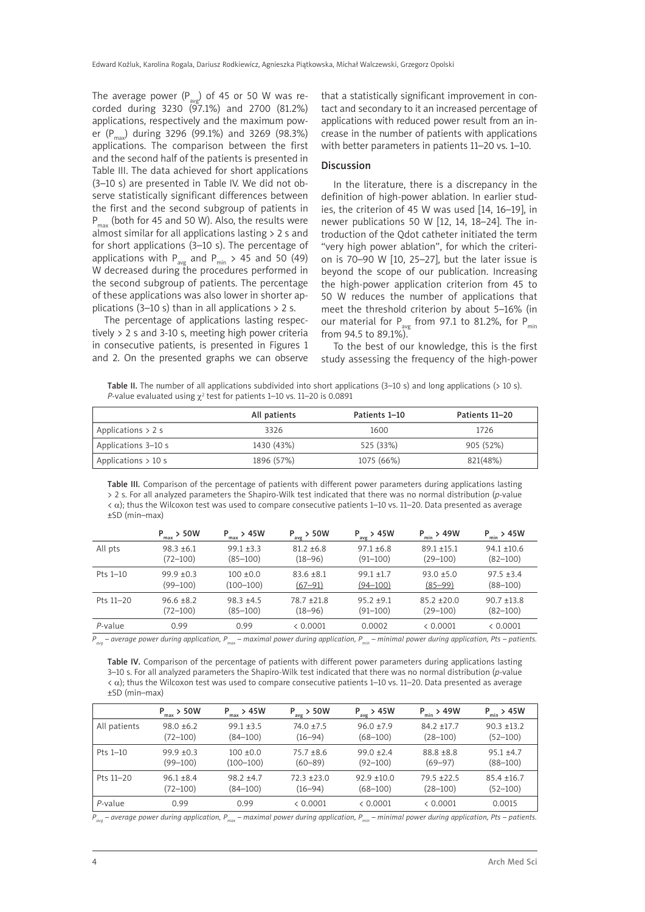The average power (P $_{\mathrm{avg}}$ ) of 45 or 50 W was recorded during 3230 (97.1%) and 2700 (81.2%) applications, respectively and the maximum power  $(P_{max})$  during 3296 (99.1%) and 3269 (98.3%) applications. The comparison between the first and the second half of the patients is presented in Table III. The data achieved for short applications (3–10 s) are presented in Table IV. We did not observe statistically significant differences between the first and the second subgroup of patients in  $P_{\text{max}}$  (both for 45 and 50 W). Also, the results were almost similar for all applications lasting  $> 2$  s and for short applications (3–10 s). The percentage of applications with P<sub>avg</sub> and P<sub>min</sub> > 45 and 50 (49) W decreased during the procedures performed in the second subgroup of patients. The percentage of these applications was also lower in shorter applications (3–10 s) than in all applications  $> 2$  s.

The percentage of applications lasting respectively > 2 s and 3-10 s, meeting high power criteria in consecutive patients, is presented in Figures 1 and 2. On the presented graphs we can observe that a statistically significant improvement in contact and secondary to it an increased percentage of applications with reduced power result from an increase in the number of patients with applications with better parameters in patients 11–20 vs. 1–10.

## **Discussion**

In the literature, there is a discrepancy in the definition of high-power ablation. In earlier studies, the criterion of 45 W was used [14, 16–19], in newer publications 50 W [12, 14, 18–24]. The introduction of the Qdot catheter initiated the term "very high power ablation", for which the criterion is 70–90 W [10, 25–27], but the later issue is beyond the scope of our publication. Increasing the high-power application criterion from 45 to 50 W reduces the number of applications that meet the threshold criterion by about 5–16% (in our material for  $P_{avg}$  from 97.1 to 81.2%, for  $P_{min}$ from 94.5 to 89.1%).

To the best of our knowledge, this is the first study assessing the frequency of the high-power

Table II. The number of all applications subdivided into short applications (3–10 s) and long applications (> 10 s). *P*-value evaluated using  $\chi^2$  test for patients 1–10 vs. 11–20 is 0.0891

|                       | All patients | Patients 1-10 | Patients 11-20 |
|-----------------------|--------------|---------------|----------------|
| Applications $> 2$ s  | 3326         | 1600          | 1726           |
| Applications 3-10 s   | 1430 (43%)   | 525 (33%)     | 905 (52%)      |
| Applications $> 10 s$ | 1896 (57%)   | 1075 (66%)    | 821(48%)       |

Table III. Comparison of the percentage of patients with different power parameters during applications lasting > 2 s. For all analyzed parameters the Shapiro-Wilk test indicated that there was no normal distribution (*p*-value < α); thus the Wilcoxon test was used to compare consecutive patients 1–10 vs. 11–20. Data presented as average ±SD (min–max)

|            | $P \rightarrow 50W$ | $P \rightarrow 45W$ | $P \rightarrow 50W$<br>avg | $P_{avg}$ > 45W | $P \rightarrow 49W$ | $P_{\min}$ > 45W |
|------------|---------------------|---------------------|----------------------------|-----------------|---------------------|------------------|
| All pts    | $98.3 + 6.1$        | $99.1 + 3.3$        | $81.2 + 6.8$               | $97.1 \pm 6.8$  | $89.1 + 15.1$       | $94.1 \pm 10.6$  |
|            | $(72 - 100)$        | $(85 - 100)$        | $(18 - 96)$                | $(91 - 100)$    | $(29 - 100)$        | $(82 - 100)$     |
| Pts $1-10$ | $99.9 + 0.3$        | $100 + 0.0$         | $83.6 + 8.1$               | $99.1 + 1.7$    | $93.0 \pm 5.0$      | $97.5 + 3.4$     |
|            | $(99 - 100)$        | $(100 - 100)$       | $(67 - 91)$                | $(94 - 100)$    | $(85 - 99)$         | $(88 - 100)$     |
| Pts 11-20  | $96.6 \pm 8.2$      | $98.3 + 4.5$        | $78.7 + 21.8$              | $95.2 + 9.1$    | $85.2 + 20.0$       | $90.7 + 13.8$    |
|            | $(72 - 100)$        | $(85 - 100)$        | $(18 - 96)$                | $(91 - 100)$    | $(29 - 100)$        | $(82 - 100)$     |
| $P$ -value | 0.99                | 0.99                | & 0.0001                   | 0.0002          | & 0.0001            | & 0.0001         |

*Pavg – average power during application, Pmax – maximal power during application, Pmin – minimal power during application, Pts – patients.*

Table IV. Comparison of the percentage of patients with different power parameters during applications lasting 3–10 s. For all analyzed parameters the Shapiro-Wilk test indicated that there was no normal distribution (*p*-value < α); thus the Wilcoxon test was used to compare consecutive patients 1–10 vs. 11–20. Data presented as average ±SD (min–max)

|              | $P_{max}$ > 50W | $P_{max}$ > 45W | $P_{avg}$ > 50W | $P_{avg}$ > 45W | $P_{min}$ > 49W | $P_{\min}$ > 45W |
|--------------|-----------------|-----------------|-----------------|-----------------|-----------------|------------------|
| All patients | $98.0 + 6.2$    | $99.1 + 3.5$    | $74.0 + 7.5$    | $96.0 + 7.9$    | $84.2 + 17.7$   | $90.3 + 13.2$    |
|              | $(72 - 100)$    | $(84 - 100)$    | $(16 - 94)$     | $(68 - 100)$    | $(28 - 100)$    | $(52 - 100)$     |
| Pts $1-10$   | $99.9 + 0.3$    | $100 + 0.0$     | $75.7 \pm 8.6$  | $99.0 + 2.4$    | $88.8 + 8.8$    | $95.1 + 4.7$     |
|              | $(99 - 100)$    | $(100 - 100)$   | $(60 - 89)$     | $(92 - 100)$    | $(69 - 97)$     | $(88 - 100)$     |
| Pts 11-20    | $96.1 + 8.4$    | $98.2 + 4.7$    | $72.3 + 23.0$   | $92.9 + 10.0$   | $79.5 + 22.5$   | $85.4 \pm 16.7$  |
|              | $(72 - 100)$    | $(84 - 100)$    | $(16 - 94)$     | $(68 - 100)$    | $(28 - 100)$    | $(52 - 100)$     |
| P-value      | 0.99            | 0.99            | < 0.0001        | < 0.0001        | < 0.0001        | 0.0015           |

*Pavg – average power during application, Pmax – maximal power during application, Pmin – minimal power during application, Pts – patients.*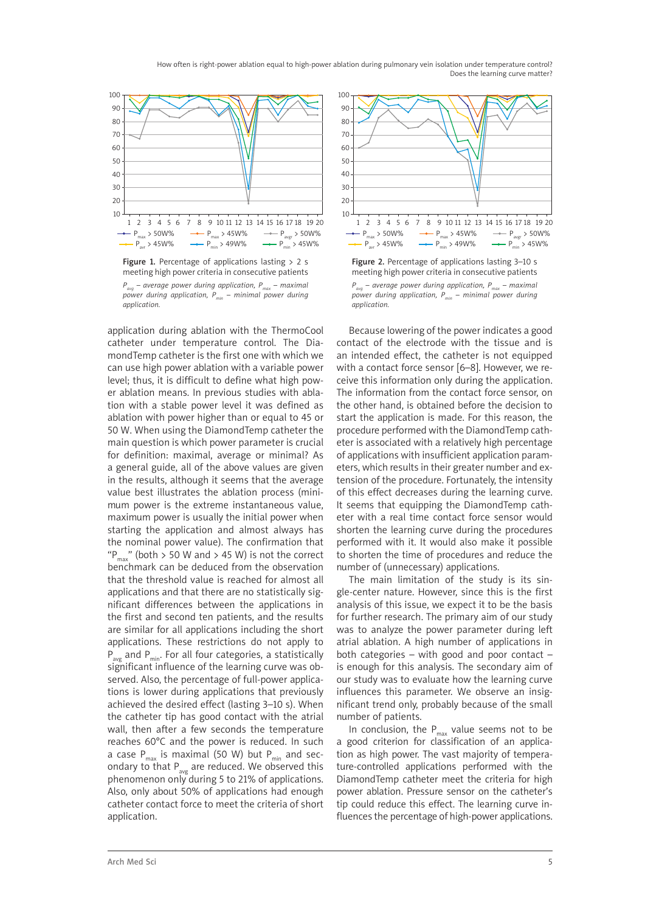How often is right-power ablation equal to high-power ablation during pulmonary vein isolation under temperature control? Does the learning curve matter?



Figure 1. Percentage of applications lasting  $> 2$  s meeting high power criteria in consecutive patients  $P_{\text{ave}}$  – average power during application,  $P_{\text{max}}$  – maximal *power during application, P<sub>min</sub> – minimal power during application.*

application during ablation with the ThermoCool catheter under temperature control. The DiamondTemp catheter is the first one with which we can use high power ablation with a variable power level; thus, it is difficult to define what high power ablation means. In previous studies with ablation with a stable power level it was defined as ablation with power higher than or equal to 45 or 50 W. When using the DiamondTemp catheter the main question is which power parameter is crucial for definition: maximal, average or minimal? As a general guide, all of the above values are given in the results, although it seems that the average value best illustrates the ablation process (minimum power is the extreme instantaneous value, maximum power is usually the initial power when starting the application and almost always has the nominal power value). The confirmation that "P<sub>max</sub>" (both > 50 W and > 45 W) is not the correct benchmark can be deduced from the observation that the threshold value is reached for almost all applications and that there are no statistically significant differences between the applications in the first and second ten patients, and the results are similar for all applications including the short applications. These restrictions do not apply to  $P_{\text{ave}}$  and  $P_{\text{min}}$ . For all four categories, a statistically significant influence of the learning curve was observed. Also, the percentage of full-power applications is lower during applications that previously achieved the desired effect (lasting 3–10 s). When the catheter tip has good contact with the atrial wall, then after a few seconds the temperature reaches 60°C and the power is reduced. In such a case  $P_{max}$  is maximal (50 W) but  $P_{min}$  and secondary to that  $P_{\text{avg}}$  are reduced. We observed this phenomenon only during 5 to 21% of applications. Also, only about 50% of applications had enough catheter contact force to meet the criteria of short application.



Figure 2. Percentage of applications lasting 3–10 s meeting high power criteria in consecutive patients  $P_{\text{max}}$  – average power during application,  $P_{\text{max}}$  – maximal *power during application, Pmin – minimal power during application.*

Because lowering of the power indicates a good contact of the electrode with the tissue and is an intended effect, the catheter is not equipped with a contact force sensor [6–8]. However, we receive this information only during the application. The information from the contact force sensor, on the other hand, is obtained before the decision to start the application is made. For this reason, the procedure performed with the DiamondTemp catheter is associated with a relatively high percentage of applications with insufficient application parameters, which results in their greater number and extension of the procedure. Fortunately, the intensity of this effect decreases during the learning curve. It seems that equipping the DiamondTemp catheter with a real time contact force sensor would shorten the learning curve during the procedures performed with it. It would also make it possible to shorten the time of procedures and reduce the number of (unnecessary) applications.

The main limitation of the study is its single-center nature. However, since this is the first analysis of this issue, we expect it to be the basis for further research. The primary aim of our study was to analyze the power parameter during left atrial ablation. A high number of applications in both categories – with good and poor contact – is enough for this analysis. The secondary aim of our study was to evaluate how the learning curve influences this parameter. We observe an insignificant trend only, probably because of the small number of patients.

In conclusion, the  $P_{max}$  value seems not to be a good criterion for classification of an application as high power. The vast majority of temperature-controlled applications performed with the DiamondTemp catheter meet the criteria for high power ablation. Pressure sensor on the catheter's tip could reduce this effect. The learning curve influences the percentage of high-power applications.